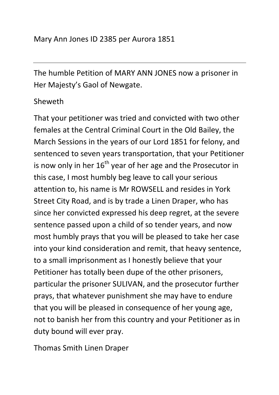The humble Petition of MARY ANN JONES now a prisoner in Her Majesty's Gaol of Newgate.

## Sheweth

That your petitioner was tried and convicted with two other females at the Central Criminal Court in the Old Bailey, the March Sessions in the years of our Lord 1851 for felony, and sentenced to seven years transportation, that your Petitioner is now only in her  $16<sup>th</sup>$  year of her age and the Prosecutor in this case, I most humbly beg leave to call your serious attention to, his name is Mr ROWSELL and resides in York Street City Road, and is by trade a Linen Draper, who has since her convicted expressed his deep regret, at the severe sentence passed upon a child of so tender years, and now most humbly prays that you will be pleased to take her case into your kind consideration and remit, that heavy sentence, to a small imprisonment as I honestly believe that your Petitioner has totally been dupe of the other prisoners, particular the prisoner SULIVAN, and the prosecutor further prays, that whatever punishment she may have to endure that you will be pleased in consequence of her young age, not to banish her from this country and your Petitioner as in duty bound will ever pray.

Thomas Smith Linen Draper